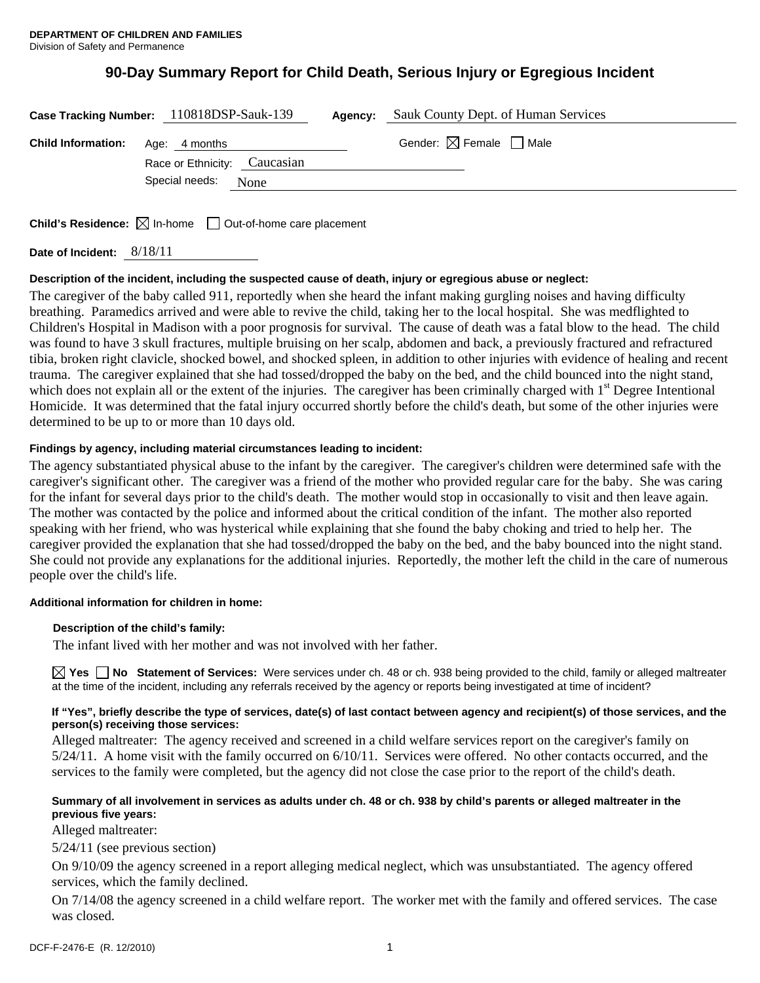# **90-Day Summary Report for Child Death, Serious Injury or Egregious Incident**

|                                         | Case Tracking Number: 110818DSP-Sauk-139 | Agency: | Sauk County Dept. of Human Services    |
|-----------------------------------------|------------------------------------------|---------|----------------------------------------|
| <b>Child Information:</b> Age: 4 months | Race or Ethnicity: Caucasian             |         | Gender: $\boxtimes$ Female $\Box$ Male |
|                                         | Special needs:<br>None                   |         |                                        |

**Child's Residence:**  $\boxtimes$  In-home  $\Box$  Out-of-home care placement

**Date of Incident:** 8/18/11

# **Description of the incident, including the suspected cause of death, injury or egregious abuse or neglect:**

The caregiver of the baby called 911, reportedly when she heard the infant making gurgling noises and having difficulty breathing. Paramedics arrived and were able to revive the child, taking her to the local hospital. She was medflighted to Children's Hospital in Madison with a poor prognosis for survival. The cause of death was a fatal blow to the head. The child was found to have 3 skull fractures, multiple bruising on her scalp, abdomen and back, a previously fractured and refractured tibia, broken right clavicle, shocked bowel, and shocked spleen, in addition to other injuries with evidence of healing and recent trauma. The caregiver explained that she had tossed/dropped the baby on the bed, and the child bounced into the night stand, which does not explain all or the extent of the injuries. The caregiver has been criminally charged with  $1<sup>st</sup>$  Degree Intentional Homicide. It was determined that the fatal injury occurred shortly before the child's death, but some of the other injuries were determined to be up to or more than 10 days old.

# **Findings by agency, including material circumstances leading to incident:**

The agency substantiated physical abuse to the infant by the caregiver. The caregiver's children were determined safe with the caregiver's significant other. The caregiver was a friend of the mother who provided regular care for the baby. She was caring for the infant for several days prior to the child's death. The mother would stop in occasionally to visit and then leave again. The mother was contacted by the police and informed about the critical condition of the infant. The mother also reported speaking with her friend, who was hysterical while explaining that she found the baby choking and tried to help her. The caregiver provided the explanation that she had tossed/dropped the baby on the bed, and the baby bounced into the night stand. She could not provide any explanations for the additional injuries. Reportedly, the mother left the child in the care of numerous people over the child's life.

# **Additional information for children in home:**

# **Description of the child's family:**

The infant lived with her mother and was not involved with her father.

**Yes No Statement of Services:** Were services under ch. 48 or ch. 938 being provided to the child, family or alleged maltreater at the time of the incident, including any referrals received by the agency or reports being investigated at time of incident?

#### **If "Yes", briefly describe the type of services, date(s) of last contact between agency and recipient(s) of those services, and the person(s) receiving those services:**

Alleged maltreater: The agency received and screened in a child welfare services report on the caregiver's family on 5/24/11. A home visit with the family occurred on 6/10/11. Services were offered. No other contacts occurred, and the services to the family were completed, but the agency did not close the case prior to the report of the child's death.

# **Summary of all involvement in services as adults under ch. 48 or ch. 938 by child's parents or alleged maltreater in the previous five years:**

Alleged maltreater:

5/24/11 (see previous section)

On 9/10/09 the agency screened in a report alleging medical neglect, which was unsubstantiated. The agency offered services, which the family declined.

On 7/14/08 the agency screened in a child welfare report. The worker met with the family and offered services. The case was closed.